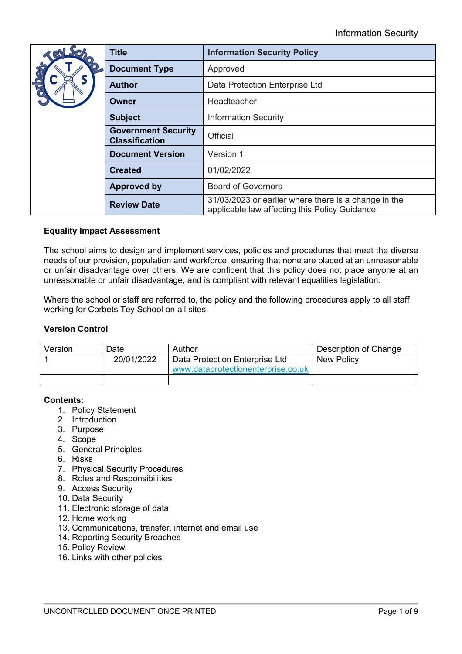|      | <b>Title</b>                                        | <b>Information Security Policy</b>                                                                    |  |
|------|-----------------------------------------------------|-------------------------------------------------------------------------------------------------------|--|
| CRIO | <b>Document Type</b>                                | Approved                                                                                              |  |
|      | <b>Author</b>                                       | Data Protection Enterprise Ltd                                                                        |  |
|      | Owner                                               | Headteacher                                                                                           |  |
|      | <b>Subject</b>                                      | <b>Information Security</b>                                                                           |  |
|      | <b>Government Security</b><br><b>Classification</b> | Official                                                                                              |  |
|      | <b>Document Version</b>                             | Version 1                                                                                             |  |
|      | <b>Created</b>                                      | 01/02/2022                                                                                            |  |
|      | <b>Approved by</b>                                  | <b>Board of Governors</b>                                                                             |  |
|      | <b>Review Date</b>                                  | 31/03/2023 or earlier where there is a change in the<br>applicable law affecting this Policy Guidance |  |

## **Equality Impact Assessment**

The school aims to design and implement services, policies and procedures that meet the diverse needs of our provision, population and workforce, ensuring that none are placed at an unreasonable or unfair disadvantage over others. We are confident that this policy does not place anyone at an unreasonable or unfair disadvantage, and is compliant with relevant equalities legislation.

Where the school or staff are referred to, the policy and the following procedures apply to all staff working for Corbets Tey School on all sites.

## **Version Control**

| Version | Date       | Author                                                               | Description of Change |
|---------|------------|----------------------------------------------------------------------|-----------------------|
|         | 20/01/2022 | Data Protection Enterprise Ltd<br>www.dataprotectionenterprise.co.uk | <b>New Policy</b>     |
|         |            |                                                                      |                       |

## **Contents:**

- 1. Policy Statement
- 2. Introduction
- 3. Purpose
- 4. Scope
- 5. General Principles
- 6. Risks
- 7. Physical Security Procedures
- 8. Roles and Responsibilities
- 9. Access Security
- 10. Data Security
- 11. Electronic storage of data
- 12. Home working
- 13. Communications, transfer, internet and email use
- 14. Reporting Security Breaches
- 15. Policy Review
- 16. Links with other policies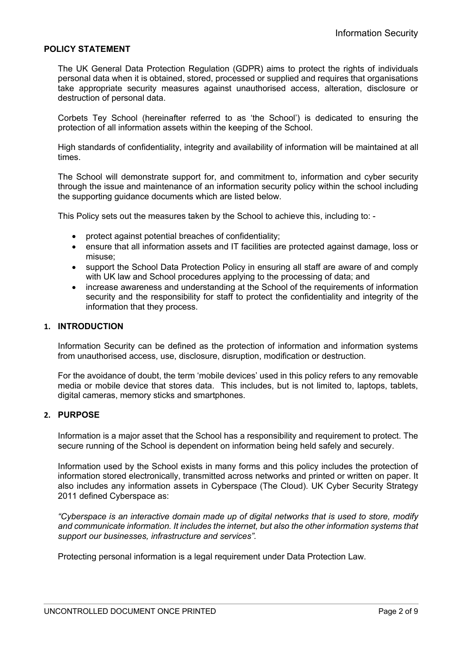#### **POLICY STATEMENT**

The UK General Data Protection Regulation (GDPR) aims to protect the rights of individuals personal data when it is obtained, stored, processed or supplied and requires that organisations take appropriate security measures against unauthorised access, alteration, disclosure or destruction of personal data.

Corbets Tey School (hereinafter referred to as 'the School') is dedicated to ensuring the protection of all information assets within the keeping of the School.

High standards of confidentiality, integrity and availability of information will be maintained at all times.

The School will demonstrate support for, and commitment to, information and cyber security through the issue and maintenance of an information security policy within the school including the supporting guidance documents which are listed below.

This Policy sets out the measures taken by the School to achieve this, including to: -

- protect against potential breaches of confidentiality;
- ensure that all information assets and IT facilities are protected against damage, loss or misuse;
- support the School Data Protection Policy in ensuring all staff are aware of and comply with UK law and School procedures applying to the processing of data; and
- increase awareness and understanding at the School of the requirements of information security and the responsibility for staff to protect the confidentiality and integrity of the information that they process.

#### **1. INTRODUCTION**

Information Security can be defined as the protection of information and information systems from unauthorised access, use, disclosure, disruption, modification or destruction.

For the avoidance of doubt, the term 'mobile devices' used in this policy refers to any removable media or mobile device that stores data. This includes, but is not limited to, laptops, tablets, digital cameras, memory sticks and smartphones.

#### **2. PURPOSE**

Information is a major asset that the School has a responsibility and requirement to protect. The secure running of the School is dependent on information being held safely and securely.

Information used by the School exists in many forms and this policy includes the protection of information stored electronically, transmitted across networks and printed or written on paper. It also includes any information assets in Cyberspace (The Cloud). UK Cyber Security Strategy 2011 defined Cyberspace as:

*"Cyberspace is an interactive domain made up of digital networks that is used to store, modify and communicate information. It includes the internet, but also the other information systems that support our businesses, infrastructure and services".* 

Protecting personal information is a legal requirement under Data Protection Law.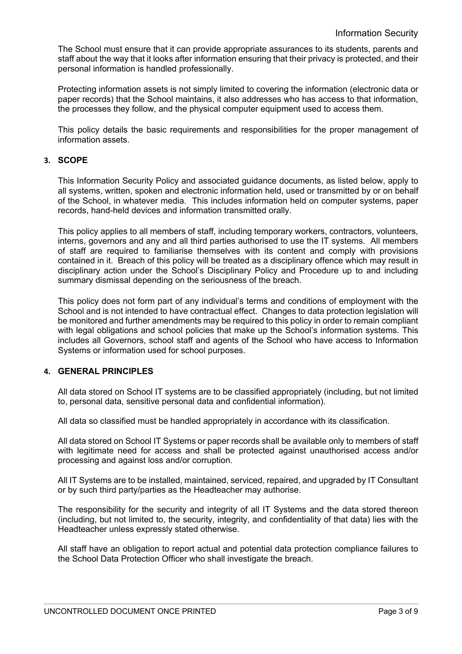The School must ensure that it can provide appropriate assurances to its students, parents and staff about the way that it looks after information ensuring that their privacy is protected, and their personal information is handled professionally.

Protecting information assets is not simply limited to covering the information (electronic data or paper records) that the School maintains, it also addresses who has access to that information, the processes they follow, and the physical computer equipment used to access them.

This policy details the basic requirements and responsibilities for the proper management of information assets.

## **3. SCOPE**

This Information Security Policy and associated guidance documents, as listed below, apply to all systems, written, spoken and electronic information held, used or transmitted by or on behalf of the School, in whatever media. This includes information held on computer systems, paper records, hand-held devices and information transmitted orally.

This policy applies to all members of staff, including temporary workers, contractors, volunteers, interns, governors and any and all third parties authorised to use the IT systems. All members of staff are required to familiarise themselves with its content and comply with provisions contained in it. Breach of this policy will be treated as a disciplinary offence which may result in disciplinary action under the School's Disciplinary Policy and Procedure up to and including summary dismissal depending on the seriousness of the breach.

This policy does not form part of any individual's terms and conditions of employment with the School and is not intended to have contractual effect. Changes to data protection legislation will be monitored and further amendments may be required to this policy in order to remain compliant with legal obligations and school policies that make up the School's information systems. This includes all Governors, school staff and agents of the School who have access to Information Systems or information used for school purposes.

### **4. GENERAL PRINCIPLES**

All data stored on School IT systems are to be classified appropriately (including, but not limited to, personal data, sensitive personal data and confidential information).

All data so classified must be handled appropriately in accordance with its classification.

All data stored on School IT Systems or paper records shall be available only to members of staff with legitimate need for access and shall be protected against unauthorised access and/or processing and against loss and/or corruption.

All IT Systems are to be installed, maintained, serviced, repaired, and upgraded by IT Consultant or by such third party/parties as the Headteacher may authorise.

The responsibility for the security and integrity of all IT Systems and the data stored thereon (including, but not limited to, the security, integrity, and confidentiality of that data) lies with the Headteacher unless expressly stated otherwise.

All staff have an obligation to report actual and potential data protection compliance failures to the School Data Protection Officer who shall investigate the breach.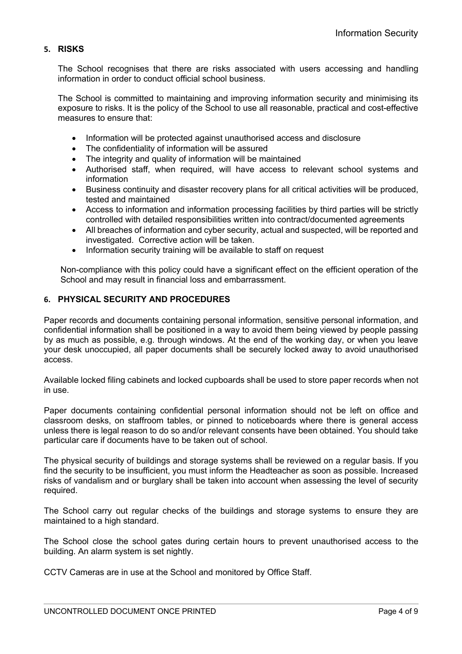## **5. RISKS**

The School recognises that there are risks associated with users accessing and handling information in order to conduct official school business.

The School is committed to maintaining and improving information security and minimising its exposure to risks. It is the policy of the School to use all reasonable, practical and cost-effective measures to ensure that:

- Information will be protected against unauthorised access and disclosure
- The confidentiality of information will be assured
- The integrity and quality of information will be maintained
- Authorised staff, when required, will have access to relevant school systems and information
- Business continuity and disaster recovery plans for all critical activities will be produced, tested and maintained
- Access to information and information processing facilities by third parties will be strictly controlled with detailed responsibilities written into contract/documented agreements
- All breaches of information and cyber security, actual and suspected, will be reported and investigated. Corrective action will be taken.
- Information security training will be available to staff on request

Non-compliance with this policy could have a significant effect on the efficient operation of the School and may result in financial loss and embarrassment.

## **6. PHYSICAL SECURITY AND PROCEDURES**

Paper records and documents containing personal information, sensitive personal information, and confidential information shall be positioned in a way to avoid them being viewed by people passing by as much as possible, e.g. through windows. At the end of the working day, or when you leave your desk unoccupied, all paper documents shall be securely locked away to avoid unauthorised access.

Available locked filing cabinets and locked cupboards shall be used to store paper records when not in use.

Paper documents containing confidential personal information should not be left on office and classroom desks, on staffroom tables, or pinned to noticeboards where there is general access unless there is legal reason to do so and/or relevant consents have been obtained. You should take particular care if documents have to be taken out of school.

The physical security of buildings and storage systems shall be reviewed on a regular basis. If you find the security to be insufficient, you must inform the Headteacher as soon as possible. Increased risks of vandalism and or burglary shall be taken into account when assessing the level of security required.

The School carry out regular checks of the buildings and storage systems to ensure they are maintained to a high standard.

The School close the school gates during certain hours to prevent unauthorised access to the building. An alarm system is set nightly.

CCTV Cameras are in use at the School and monitored by Office Staff.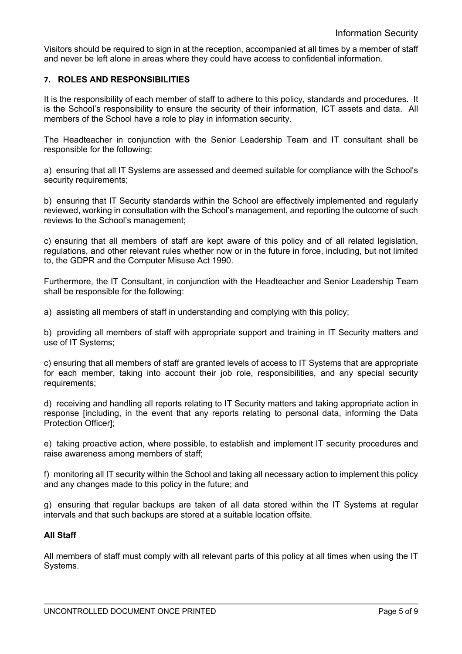Visitors should be required to sign in at the reception, accompanied at all times by a member of staff and never be left alone in areas where they could have access to confidential information.

## **7. ROLES AND RESPONSIBILITIES**

It is the responsibility of each member of staff to adhere to this policy, standards and procedures. It is the School's responsibility to ensure the security of their information, ICT assets and data. All members of the School have a role to play in information security.

The Headteacher in conjunction with the Senior Leadership Team and IT consultant shall be responsible for the following:

a) ensuring that all IT Systems are assessed and deemed suitable for compliance with the School's security requirements:

b) ensuring that IT Security standards within the School are effectively implemented and regularly reviewed, working in consultation with the School's management, and reporting the outcome of such reviews to the School's management;

c) ensuring that all members of staff are kept aware of this policy and of all related legislation, regulations, and other relevant rules whether now or in the future in force, including, but not limited to, the GDPR and the Computer Misuse Act 1990.

Furthermore, the IT Consultant, in conjunction with the Headteacher and Senior Leadership Team shall be responsible for the following:

a) assisting all members of staff in understanding and complying with this policy;

b) providing all members of staff with appropriate support and training in IT Security matters and use of IT Systems;

c) ensuring that all members of staff are granted levels of access to IT Systems that are appropriate for each member, taking into account their job role, responsibilities, and any special security requirements;

d) receiving and handling all reports relating to IT Security matters and taking appropriate action in response [including, in the event that any reports relating to personal data, informing the Data Protection Officer];

e) taking proactive action, where possible, to establish and implement IT security procedures and raise awareness among members of staff;

f) monitoring all IT security within the School and taking all necessary action to implement this policy and any changes made to this policy in the future; and

g) ensuring that regular backups are taken of all data stored within the IT Systems at regular intervals and that such backups are stored at a suitable location offsite.

## **All Staff**

All members of staff must comply with all relevant parts of this policy at all times when using the IT Systems.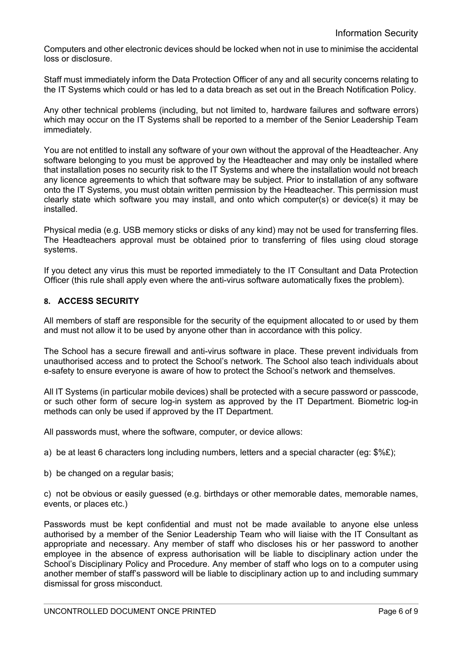Computers and other electronic devices should be locked when not in use to minimise the accidental loss or disclosure.

Staff must immediately inform the Data Protection Officer of any and all security concerns relating to the IT Systems which could or has led to a data breach as set out in the Breach Notification Policy.

Any other technical problems (including, but not limited to, hardware failures and software errors) which may occur on the IT Systems shall be reported to a member of the Senior Leadership Team immediately.

You are not entitled to install any software of your own without the approval of the Headteacher. Any software belonging to you must be approved by the Headteacher and may only be installed where that installation poses no security risk to the IT Systems and where the installation would not breach any licence agreements to which that software may be subject. Prior to installation of any software onto the IT Systems, you must obtain written permission by the Headteacher. This permission must clearly state which software you may install, and onto which computer(s) or device(s) it may be installed.

Physical media (e.g. USB memory sticks or disks of any kind) may not be used for transferring files. The Headteachers approval must be obtained prior to transferring of files using cloud storage systems.

If you detect any virus this must be reported immediately to the IT Consultant and Data Protection Officer (this rule shall apply even where the anti-virus software automatically fixes the problem).

## **8. ACCESS SECURITY**

All members of staff are responsible for the security of the equipment allocated to or used by them and must not allow it to be used by anyone other than in accordance with this policy.

The School has a secure firewall and anti-virus software in place. These prevent individuals from unauthorised access and to protect the School's network. The School also teach individuals about e-safety to ensure everyone is aware of how to protect the School's network and themselves.

All IT Systems (in particular mobile devices) shall be protected with a secure password or passcode, or such other form of secure log-in system as approved by the IT Department. Biometric log-in methods can only be used if approved by the IT Department.

All passwords must, where the software, computer, or device allows:

a) be at least 6 characters long including numbers, letters and a special character (eg:  $\frac{6}{5}$ ;

b) be changed on a regular basis;

c) not be obvious or easily guessed (e.g. birthdays or other memorable dates, memorable names, events, or places etc.)

Passwords must be kept confidential and must not be made available to anyone else unless authorised by a member of the Senior Leadership Team who will liaise with the IT Consultant as appropriate and necessary. Any member of staff who discloses his or her password to another employee in the absence of express authorisation will be liable to disciplinary action under the School's Disciplinary Policy and Procedure. Any member of staff who logs on to a computer using another member of staff's password will be liable to disciplinary action up to and including summary dismissal for gross misconduct.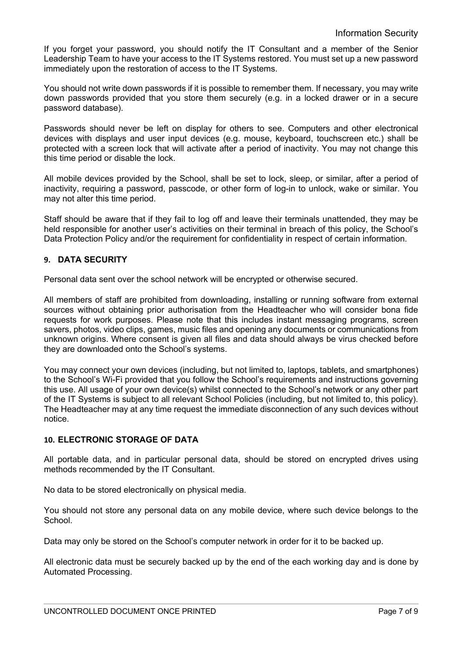If you forget your password, you should notify the IT Consultant and a member of the Senior Leadership Team to have your access to the IT Systems restored. You must set up a new password immediately upon the restoration of access to the IT Systems.

You should not write down passwords if it is possible to remember them. If necessary, you may write down passwords provided that you store them securely (e.g. in a locked drawer or in a secure password database).

Passwords should never be left on display for others to see. Computers and other electronical devices with displays and user input devices (e.g. mouse, keyboard, touchscreen etc.) shall be protected with a screen lock that will activate after a period of inactivity. You may not change this this time period or disable the lock.

All mobile devices provided by the School, shall be set to lock, sleep, or similar, after a period of inactivity, requiring a password, passcode, or other form of log-in to unlock, wake or similar. You may not alter this time period.

Staff should be aware that if they fail to log off and leave their terminals unattended, they may be held responsible for another user's activities on their terminal in breach of this policy, the School's Data Protection Policy and/or the requirement for confidentiality in respect of certain information.

## **9. DATA SECURITY**

Personal data sent over the school network will be encrypted or otherwise secured.

All members of staff are prohibited from downloading, installing or running software from external sources without obtaining prior authorisation from the Headteacher who will consider bona fide requests for work purposes. Please note that this includes instant messaging programs, screen savers, photos, video clips, games, music files and opening any documents or communications from unknown origins. Where consent is given all files and data should always be virus checked before they are downloaded onto the School's systems.

You may connect your own devices (including, but not limited to, laptops, tablets, and smartphones) to the School's Wi-Fi provided that you follow the School's requirements and instructions governing this use. All usage of your own device(s) whilst connected to the School's network or any other part of the IT Systems is subject to all relevant School Policies (including, but not limited to, this policy). The Headteacher may at any time request the immediate disconnection of any such devices without notice.

# **10. ELECTRONIC STORAGE OF DATA**

All portable data, and in particular personal data, should be stored on encrypted drives using methods recommended by the IT Consultant.

No data to be stored electronically on physical media.

You should not store any personal data on any mobile device, where such device belongs to the School.

Data may only be stored on the School's computer network in order for it to be backed up.

All electronic data must be securely backed up by the end of the each working day and is done by Automated Processing.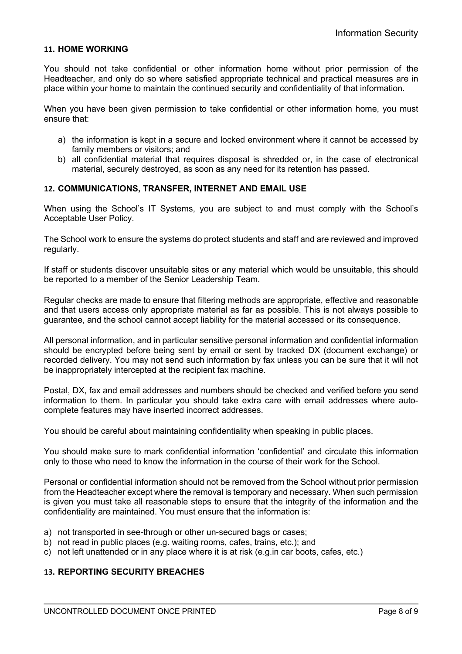### **11. HOME WORKING**

You should not take confidential or other information home without prior permission of the Headteacher, and only do so where satisfied appropriate technical and practical measures are in place within your home to maintain the continued security and confidentiality of that information.

When you have been given permission to take confidential or other information home, you must ensure that:

- a) the information is kept in a secure and locked environment where it cannot be accessed by family members or visitors; and
- b) all confidential material that requires disposal is shredded or, in the case of electronical material, securely destroyed, as soon as any need for its retention has passed.

#### **12. COMMUNICATIONS, TRANSFER, INTERNET AND EMAIL USE**

When using the School's IT Systems, you are subject to and must comply with the School's Acceptable User Policy.

The School work to ensure the systems do protect students and staff and are reviewed and improved regularly.

If staff or students discover unsuitable sites or any material which would be unsuitable, this should be reported to a member of the Senior Leadership Team.

Regular checks are made to ensure that filtering methods are appropriate, effective and reasonable and that users access only appropriate material as far as possible. This is not always possible to guarantee, and the school cannot accept liability for the material accessed or its consequence.

All personal information, and in particular sensitive personal information and confidential information should be encrypted before being sent by email or sent by tracked DX (document exchange) or recorded delivery. You may not send such information by fax unless you can be sure that it will not be inappropriately intercepted at the recipient fax machine.

Postal, DX, fax and email addresses and numbers should be checked and verified before you send information to them. In particular you should take extra care with email addresses where autocomplete features may have inserted incorrect addresses.

You should be careful about maintaining confidentiality when speaking in public places.

You should make sure to mark confidential information 'confidential' and circulate this information only to those who need to know the information in the course of their work for the School.

Personal or confidential information should not be removed from the School without prior permission from the Headteacher except where the removal is temporary and necessary. When such permission is given you must take all reasonable steps to ensure that the integrity of the information and the confidentiality are maintained. You must ensure that the information is:

- a) not transported in see-through or other un-secured bags or cases:
- b) not read in public places (e.g. waiting rooms, cafes, trains, etc.); and
- c) not left unattended or in any place where it is at risk (e.g.in car boots, cafes, etc.)

## **13. REPORTING SECURITY BREACHES**